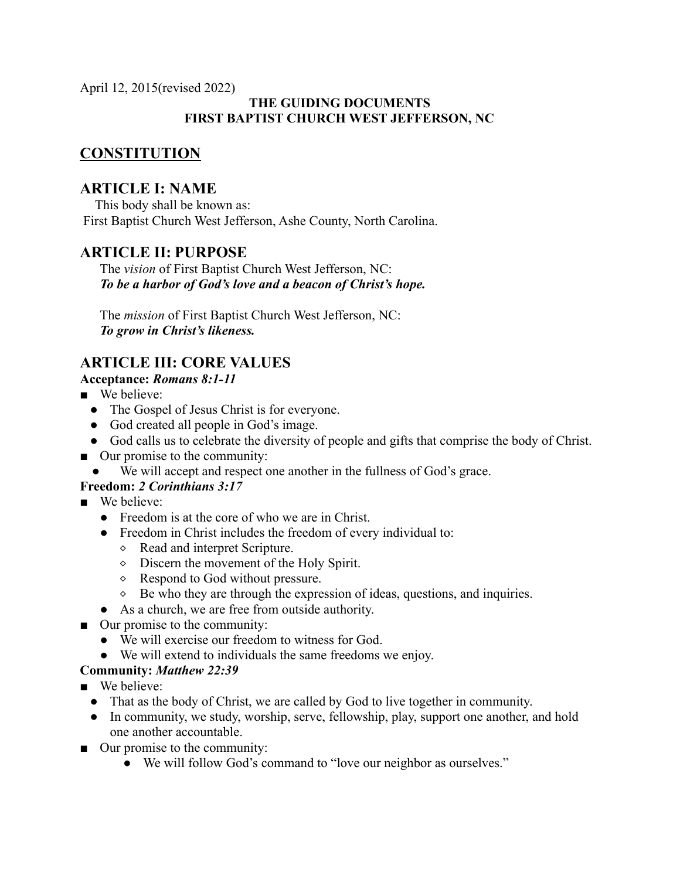April 12, 2015(revised 2022)

## **THE GUIDING DOCUMENTS FIRST BAPTIST CHURCH WEST JEFFERSON, NC**

## **CONSTITUTION**

## **ARTICLE I: NAME**

This body shall be known as: First Baptist Church West Jefferson, Ashe County, North Carolina.

## **ARTICLE II: PURPOSE**

The *vision* of First Baptist Church West Jefferson, NC: *To be a harbor of God's love and a beacon of Christ's hope.*

The *mission* of First Baptist Church West Jefferson, NC: *To grow in Christ's likeness.*

# **ARTICLE III: CORE VALUES**

## **Acceptance:** *Romans 8:1-11*

- We believe:
	- The Gospel of Jesus Christ is for everyone.
	- God created all people in God's image.
	- God calls us to celebrate the diversity of people and gifts that comprise the body of Christ.
- Our promise to the community:
	- We will accept and respect one another in the fullness of God's grace.

## **Freedom:** *2 Corinthians 3:17*

- We believe:
	- Freedom is at the core of who we are in Christ.
	- Freedom in Christ includes the freedom of every individual to:
		- ⬥ Read and interpret Scripture.
		- ⬥ Discern the movement of the Holy Spirit.
		- ⬥ Respond to God without pressure.
		- $\Diamond$  Be who they are through the expression of ideas, questions, and inquiries.
	- As a church, we are free from outside authority.
- Our promise to the community:
	- We will exercise our freedom to witness for God.
	- We will extend to individuals the same freedoms we enjoy.

## **Community:** *Matthew 22:39*

- We believe:
	- That as the body of Christ, we are called by God to live together in community.
	- In community, we study, worship, serve, fellowship, play, support one another, and hold one another accountable.
- Our promise to the community:
	- We will follow God's command to "love our neighbor as ourselves."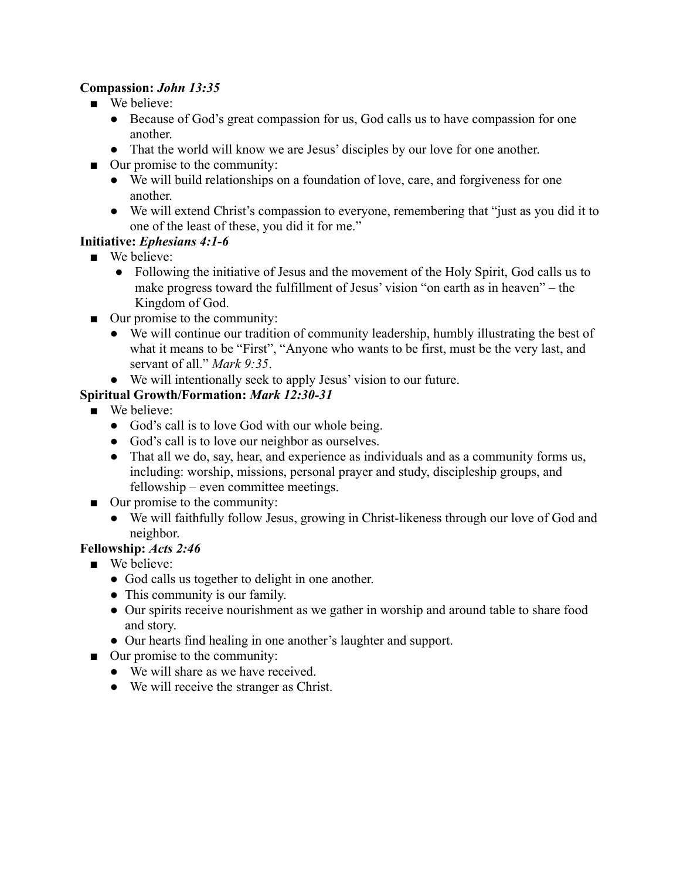#### **Compassion:** *John 13:35*

- We believe:
	- Because of God's great compassion for us, God calls us to have compassion for one another.
	- That the world will know we are Jesus' disciples by our love for one another.
- Our promise to the community:
	- We will build relationships on a foundation of love, care, and forgiveness for one another.
	- We will extend Christ's compassion to everyone, remembering that "just as you did it to one of the least of these, you did it for me."

## **Initiative:** *Ephesians 4:1-6*

- We believe:
	- Following the initiative of Jesus and the movement of the Holy Spirit, God calls us to make progress toward the fulfillment of Jesus' vision "on earth as in heaven" – the Kingdom of God.
- Our promise to the community:
	- We will continue our tradition of community leadership, humbly illustrating the best of what it means to be "First", "Anyone who wants to be first, must be the very last, and servant of all." *Mark 9:35*.
	- We will intentionally seek to apply Jesus' vision to our future.

## **Spiritual Growth/Formation:** *Mark 12:30-31*

- We believe:
	- God's call is to love God with our whole being.
	- God's call is to love our neighbor as ourselves.
	- That all we do, say, hear, and experience as individuals and as a community forms us, including: worship, missions, personal prayer and study, discipleship groups, and fellowship – even committee meetings.
- Our promise to the community:
	- We will faithfully follow Jesus, growing in Christ-likeness through our love of God and neighbor.

## **Fellowship:** *Acts 2:46*

- We believe:
	- God calls us together to delight in one another.
	- This community is our family.
	- Our spirits receive nourishment as we gather in worship and around table to share food and story.
	- Our hearts find healing in one another's laughter and support.
- Our promise to the community:
	- We will share as we have received.
	- We will receive the stranger as Christ.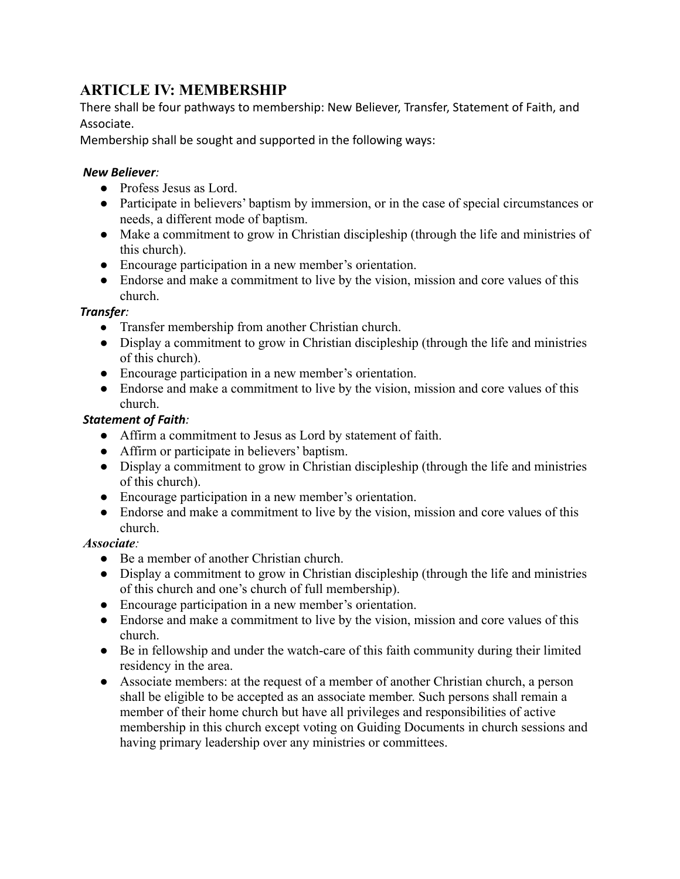## **ARTICLE IV: MEMBERSHIP**

There shall be four pathways to membership: New Believer, Transfer, Statement of Faith, and Associate.

Membership shall be sought and supported in the following ways:

#### *New Believer:*

- Profess Jesus as Lord.
- Participate in believers' baptism by immersion, or in the case of special circumstances or needs, a different mode of baptism.
- Make a commitment to grow in Christian discipleship (through the life and ministries of this church).
- Encourage participation in a new member's orientation.
- Endorse and make a commitment to live by the vision, mission and core values of this church.

#### *Transfer:*

- *●* Transfer membership from another Christian church.
- *●* Display a commitment to grow in Christian discipleship (through the life and ministries of this church).
- Encourage participation in a new member's orientation.
- Endorse and make a commitment to live by the vision, mission and core values of this church.

#### *Statement of Faith:*

- *●* Affirm a commitment to Jesus as Lord by statement of faith.
- *●* Affirm or participate in believers' baptism.
- *●* Display a commitment to grow in Christian discipleship (through the life and ministries of this church).
- Encourage participation in a new member's orientation.
- Endorse and make a commitment to live by the vision, mission and core values of this church.

#### *Associate:*

- *●* Be a member of another Christian church.
- *●* Display a commitment to grow in Christian discipleship (through the life and ministries of this church and one's church of full membership).
- Encourage participation in a new member's orientation.
- Endorse and make a commitment to live by the vision, mission and core values of this church.
- Be in fellowship and under the watch-care of this faith community during their limited residency in the area.
- Associate members: at the request of a member of another Christian church, a person shall be eligible to be accepted as an associate member. Such persons shall remain a member of their home church but have all privileges and responsibilities of active membership in this church except voting on Guiding Documents in church sessions and having primary leadership over any ministries or committees.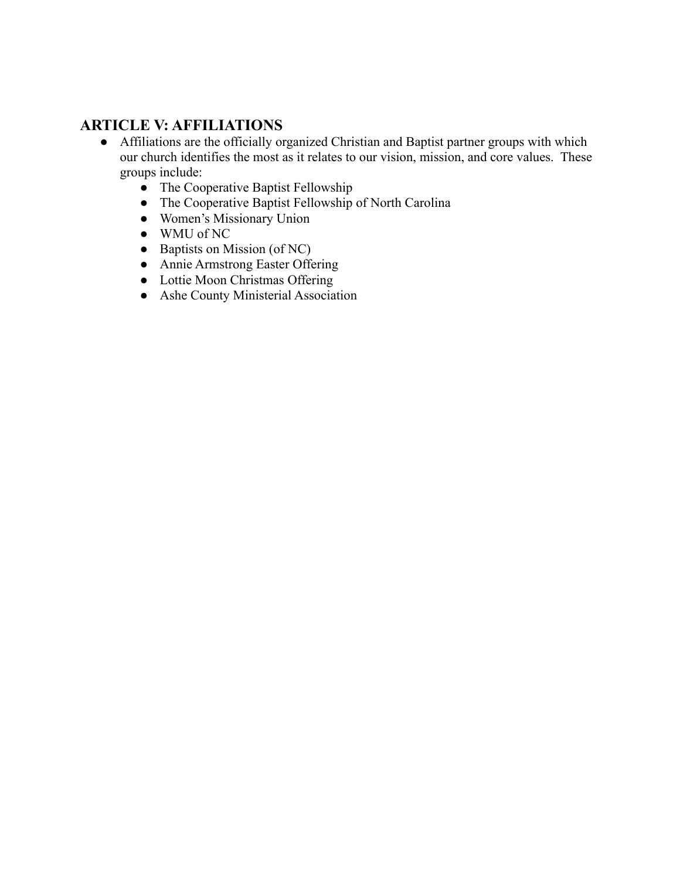# **ARTICLE V: AFFILIATIONS**

- Affiliations are the officially organized Christian and Baptist partner groups with which our church identifies the most as it relates to our vision, mission, and core values. These groups include:
	- *●* The Cooperative Baptist Fellowship
	- *●* The Cooperative Baptist Fellowship of North Carolina
	- *●* Women's Missionary Union
	- *●* WMU of NC
	- *●* Baptists on Mission (of NC)
	- *●* Annie Armstrong Easter Offering
	- *●* Lottie Moon Christmas Offering
	- *●* Ashe County Ministerial Association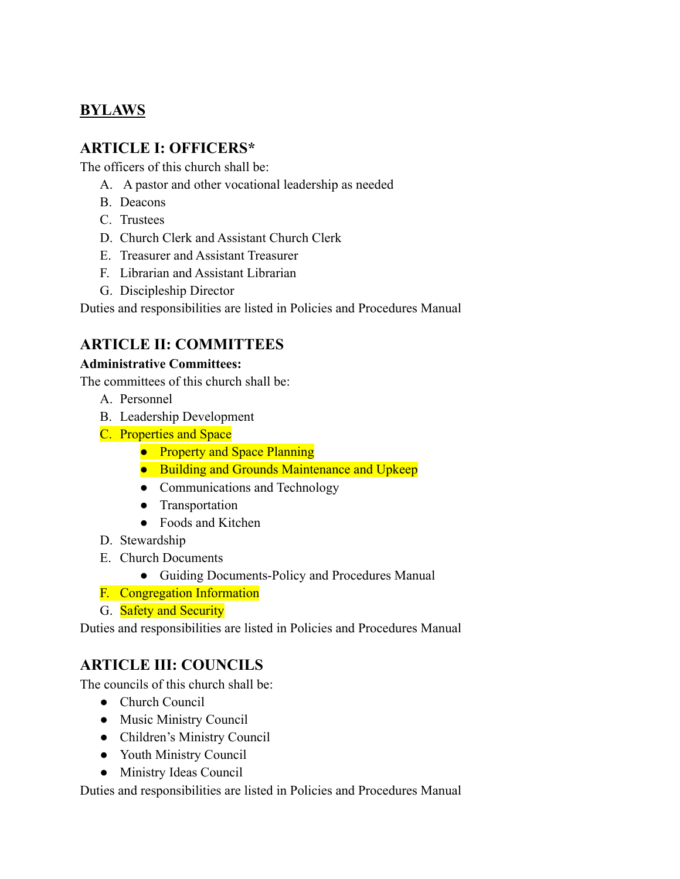# **BYLAWS**

## **ARTICLE I: OFFICERS\***

The officers of this church shall be:

- A. A pastor and other vocational leadership as needed
- B. Deacons
- C. Trustees
- D. Church Clerk and Assistant Church Clerk
- E. Treasurer and Assistant Treasurer
- F. Librarian and Assistant Librarian
- G. Discipleship Director

Duties and responsibilities are listed in Policies and Procedures Manual

## **ARTICLE II: COMMITTEES**

#### **Administrative Committees:**

The committees of this church shall be:

- A. Personnel
- B. Leadership Development
- C. Properties and Space
	- Property and Space Planning
	- Building and Grounds Maintenance and Upkeep
	- Communications and Technology
	- Transportation
	- Foods and Kitchen
- D. Stewardship
- E. Church Documents
	- Guiding Documents-Policy and Procedures Manual
- F. Congregation Information
- G. **Safety and Security**

Duties and responsibilities are listed in Policies and Procedures Manual

# **ARTICLE III: COUNCILS**

The councils of this church shall be:

- Church Council
- Music Ministry Council
- Children's Ministry Council
- Youth Ministry Council
- Ministry Ideas Council

Duties and responsibilities are listed in Policies and Procedures Manual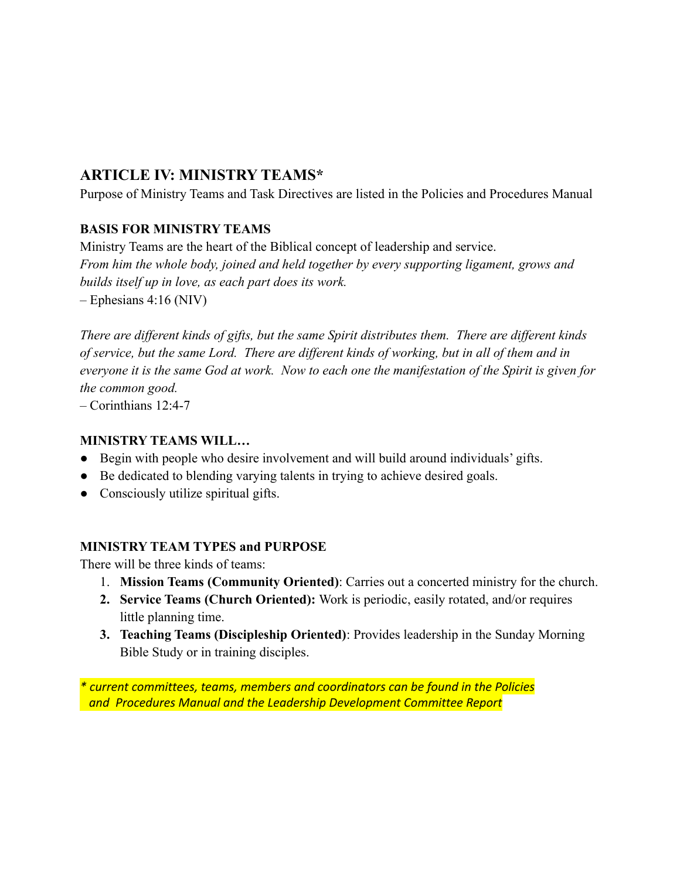## **ARTICLE IV: MINISTRY TEAMS\***

Purpose of Ministry Teams and Task Directives are listed in the Policies and Procedures Manual

## **BASIS FOR MINISTRY TEAMS**

Ministry Teams are the heart of the Biblical concept of leadership and service. *From him the whole body, joined and held together by every supporting ligament, grows and builds itself up in love, as each part does its work. –* Ephesians 4:16 (NIV)

*There are different kinds of gifts, but the same Spirit distributes them. There are different kinds of service, but the same Lord. There are different kinds of working, but in all of them and in everyone it is the same God at work. Now to each one the manifestation of the Spirit is given for the common good.*

– Corinthians 12:4-7

## **MINISTRY TEAMS WILL…**

- Begin with people who desire involvement and will build around individuals' gifts.
- Be dedicated to blending varying talents in trying to achieve desired goals.
- Consciously utilize spiritual gifts.

## **MINISTRY TEAM TYPES and PURPOSE**

There will be three kinds of teams:

- 1. **Mission Teams (Community Oriented)**: Carries out a concerted ministry for the church.
- **2. Service Teams (Church Oriented):** Work is periodic, easily rotated, and/or requires little planning time.
- **3. Teaching Teams (Discipleship Oriented)**: Provides leadership in the Sunday Morning Bible Study or in training disciples.

*\* current committees, teams, members and coordinators can be found in the Policies and Procedures Manual and the Leadership Development Committee Report*